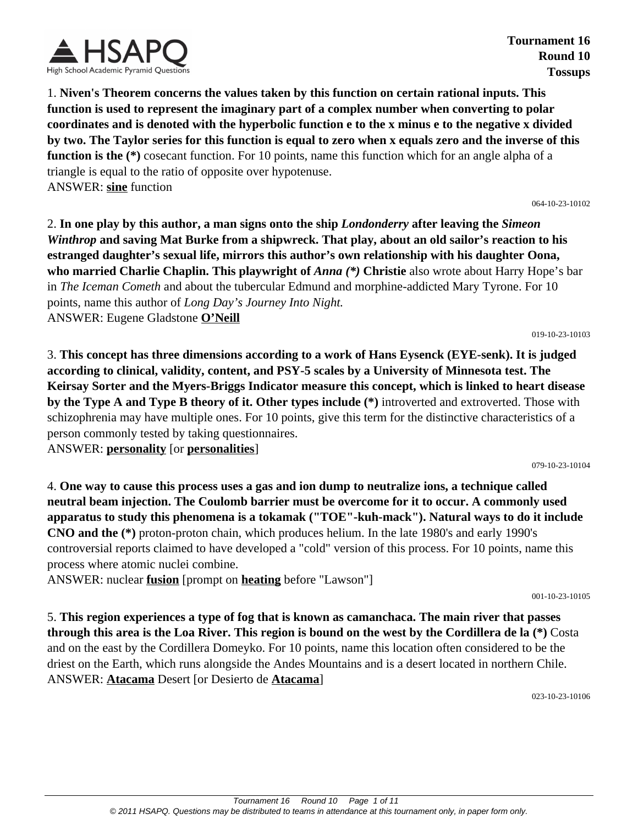

**Tournament 16 Round 10 Tossups**

1. **Niven's Theorem concerns the values taken by this function on certain rational inputs. This function is used to represent the imaginary part of a complex number when converting to polar coordinates and is denoted with the hyperbolic function e to the x minus e to the negative x divided by two. The Taylor series for this function is equal to zero when x equals zero and the inverse of this function is the (\*)** cosecant function. For 10 points, name this function which for an angle alpha of a triangle is equal to the ratio of opposite over hypotenuse. ANSWER: **sine** function

064-10-23-10102

2. **In one play by this author, a man signs onto the ship** *Londonderry* **after leaving the** *Simeon Winthrop* **and saving Mat Burke from a shipwreck. That play, about an old sailor's reaction to his estranged daughter's sexual life, mirrors this author's own relationship with his daughter Oona, who married Charlie Chaplin. This playwright of** *Anna (\*)* **Christie** also wrote about Harry Hope's bar in *The Iceman Cometh* and about the tubercular Edmund and morphine-addicted Mary Tyrone. For 10 points, name this author of *Long Day's Journey Into Night.* ANSWER: Eugene Gladstone **O'Neill**

019-10-23-10103

3. **This concept has three dimensions according to a work of Hans Eysenck (EYE-senk). It is judged according to clinical, validity, content, and PSY-5 scales by a University of Minnesota test. The Keirsay Sorter and the Myers-Briggs Indicator measure this concept, which is linked to heart disease by the Type A and Type B theory of it. Other types include (\*)** introverted and extroverted. Those with schizophrenia may have multiple ones. For 10 points, give this term for the distinctive characteristics of a person commonly tested by taking questionnaires.

ANSWER: **personality** [or **personalities**]

079-10-23-10104

4. **One way to cause this process uses a gas and ion dump to neutralize ions, a technique called neutral beam injection. The Coulomb barrier must be overcome for it to occur. A commonly used apparatus to study this phenomena is a tokamak ("TOE"-kuh-mack"). Natural ways to do it include CNO and the (\*)** proton-proton chain, which produces helium. In the late 1980's and early 1990's controversial reports claimed to have developed a "cold" version of this process. For 10 points, name this process where atomic nuclei combine.

ANSWER: nuclear **fusion** [prompt on **heating** before "Lawson"]

001-10-23-10105

5. **This region experiences a type of fog that is known as camanchaca. The main river that passes through this area is the Loa River. This region is bound on the west by the Cordillera de la (\*)** Costa and on the east by the Cordillera Domeyko. For 10 points, name this location often considered to be the driest on the Earth, which runs alongside the Andes Mountains and is a desert located in northern Chile. ANSWER: **Atacama** Desert [or Desierto de **Atacama**]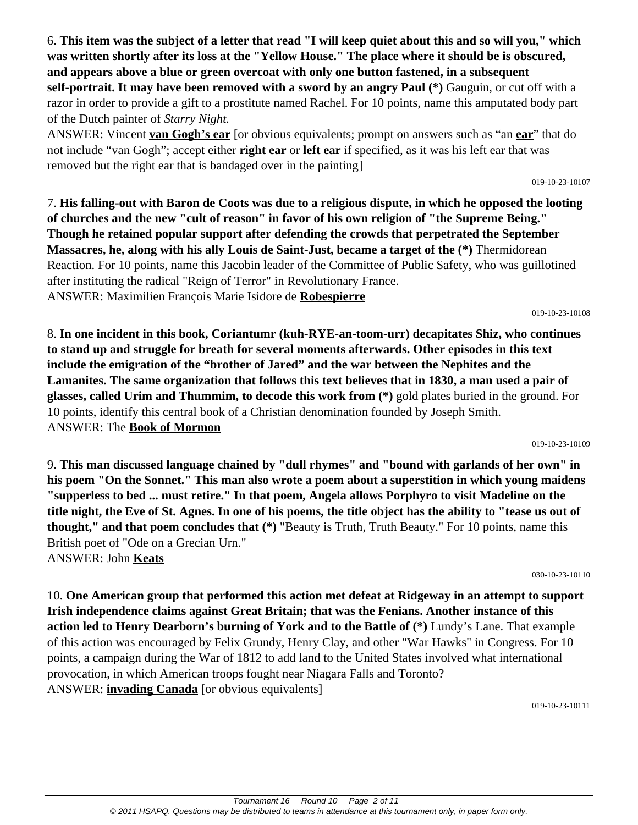6. **This item was the subject of a letter that read "I will keep quiet about this and so will you," which was written shortly after its loss at the "Yellow House." The place where it should be is obscured, and appears above a blue or green overcoat with only one button fastened, in a subsequent self-portrait. It may have been removed with a sword by an angry Paul (\*)** Gauguin, or cut off with a razor in order to provide a gift to a prostitute named Rachel. For 10 points, name this amputated body part of the Dutch painter of *Starry Night.*

ANSWER: Vincent **van Gogh's ear** [or obvious equivalents; prompt on answers such as "an **ear**" that do not include "van Gogh"; accept either **right ear** or **left ear** if specified, as it was his left ear that was removed but the right ear that is bandaged over in the painting]

7. **His falling-out with Baron de Coots was due to a religious dispute, in which he opposed the looting of churches and the new "cult of reason" in favor of his own religion of "the Supreme Being." Though he retained popular support after defending the crowds that perpetrated the September Massacres, he, along with his ally Louis de Saint-Just, became a target of the (\*)** Thermidorean Reaction. For 10 points, name this Jacobin leader of the Committee of Public Safety, who was guillotined after instituting the radical "Reign of Terror" in Revolutionary France. ANSWER: Maximilien François Marie Isidore de **Robespierre**

019-10-23-10108

019-10-23-10107

8. **In one incident in this book, Coriantumr (kuh-RYE-an-toom-urr) decapitates Shiz, who continues to stand up and struggle for breath for several moments afterwards. Other episodes in this text include the emigration of the "brother of Jared" and the war between the Nephites and the Lamanites. The same organization that follows this text believes that in 1830, a man used a pair of glasses, called Urim and Thummim, to decode this work from (\*)** gold plates buried in the ground. For 10 points, identify this central book of a Christian denomination founded by Joseph Smith. ANSWER: The **Book of Mormon**

019-10-23-10109

9. **This man discussed language chained by "dull rhymes" and "bound with garlands of her own" in his poem "On the Sonnet." This man also wrote a poem about a superstition in which young maidens "supperless to bed ... must retire." In that poem, Angela allows Porphyro to visit Madeline on the title night, the Eve of St. Agnes. In one of his poems, the title object has the ability to "tease us out of thought," and that poem concludes that (\*)** "Beauty is Truth, Truth Beauty." For 10 points, name this British poet of "Ode on a Grecian Urn." ANSWER: John **Keats**

030-10-23-10110

10. **One American group that performed this action met defeat at Ridgeway in an attempt to support Irish independence claims against Great Britain; that was the Fenians. Another instance of this action led to Henry Dearborn's burning of York and to the Battle of (\*)** Lundy's Lane. That example of this action was encouraged by Felix Grundy, Henry Clay, and other "War Hawks" in Congress. For 10 points, a campaign during the War of 1812 to add land to the United States involved what international provocation, in which American troops fought near Niagara Falls and Toronto? ANSWER: **invading Canada** [or obvious equivalents]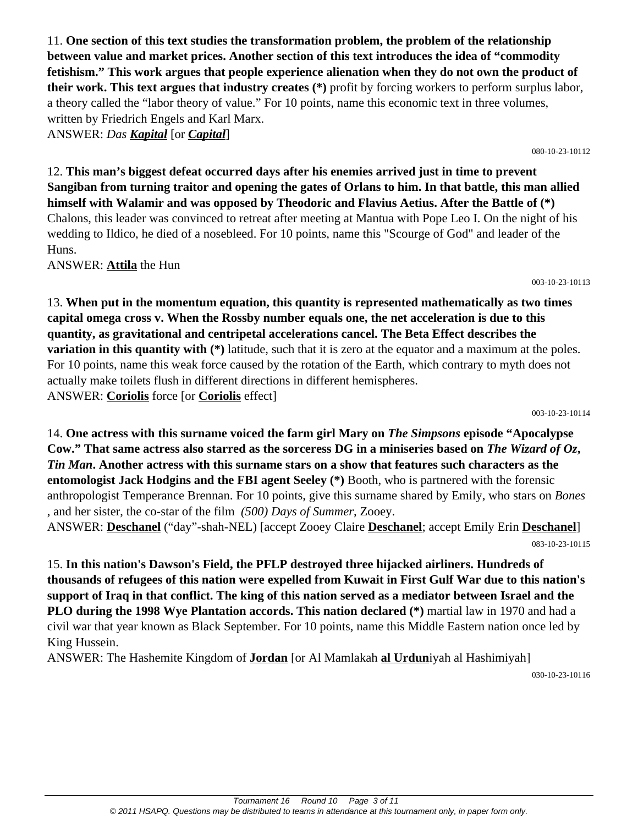11. **One section of this text studies the transformation problem, the problem of the relationship between value and market prices. Another section of this text introduces the idea of "commodity fetishism." This work argues that people experience alienation when they do not own the product of their work. This text argues that industry creates (\*)** profit by forcing workers to perform surplus labor, a theory called the "labor theory of value." For 10 points, name this economic text in three volumes, written by Friedrich Engels and Karl Marx. ANSWER: *Das Kapital* [or *Capital*]

12. **This man's biggest defeat occurred days after his enemies arrived just in time to prevent Sangiban from turning traitor and opening the gates of Orlans to him. In that battle, this man allied himself with Walamir and was opposed by Theodoric and Flavius Aetius. After the Battle of (\*)** Chalons, this leader was convinced to retreat after meeting at Mantua with Pope Leo I. On the night of his wedding to Ildico, he died of a nosebleed. For 10 points, name this "Scourge of God" and leader of the Huns.

ANSWER: **Attila** the Hun

13. **When put in the momentum equation, this quantity is represented mathematically as two times capital omega cross v. When the Rossby number equals one, the net acceleration is due to this quantity, as gravitational and centripetal accelerations cancel. The Beta Effect describes the variation in this quantity with** (\*) latitude, such that it is zero at the equator and a maximum at the poles. For 10 points, name this weak force caused by the rotation of the Earth, which contrary to myth does not actually make toilets flush in different directions in different hemispheres. ANSWER: **Coriolis** force [or **Coriolis** effect]

003-10-23-10114

14. **One actress with this surname voiced the farm girl Mary on** *The Simpsons* **episode "Apocalypse Cow." That same actress also starred as the sorceress DG in a miniseries based on** *The Wizard of Oz***,**  *Tin Man***. Another actress with this surname stars on a show that features such characters as the entomologist Jack Hodgins and the FBI agent Seeley (\*)** Booth, who is partnered with the forensic anthropologist Temperance Brennan. For 10 points, give this surname shared by Emily, who stars on *Bones* , and her sister, the co-star of the film *(500) Days of Summer*, Zooey.

ANSWER: **Deschanel** ("day"-shah-NEL) [accept Zooey Claire **Deschanel**; accept Emily Erin **Deschanel**] 083-10-23-10115

15. **In this nation's Dawson's Field, the PFLP destroyed three hijacked airliners. Hundreds of thousands of refugees of this nation were expelled from Kuwait in First Gulf War due to this nation's support of Iraq in that conflict. The king of this nation served as a mediator between Israel and the PLO during the 1998 Wye Plantation accords. This nation declared (\*)** martial law in 1970 and had a civil war that year known as Black September. For 10 points, name this Middle Eastern nation once led by King Hussein.

ANSWER: The Hashemite Kingdom of **Jordan** [or Al Mamlakah **al Urdun**iyah al Hashimiyah]

030-10-23-10116

003-10-23-10113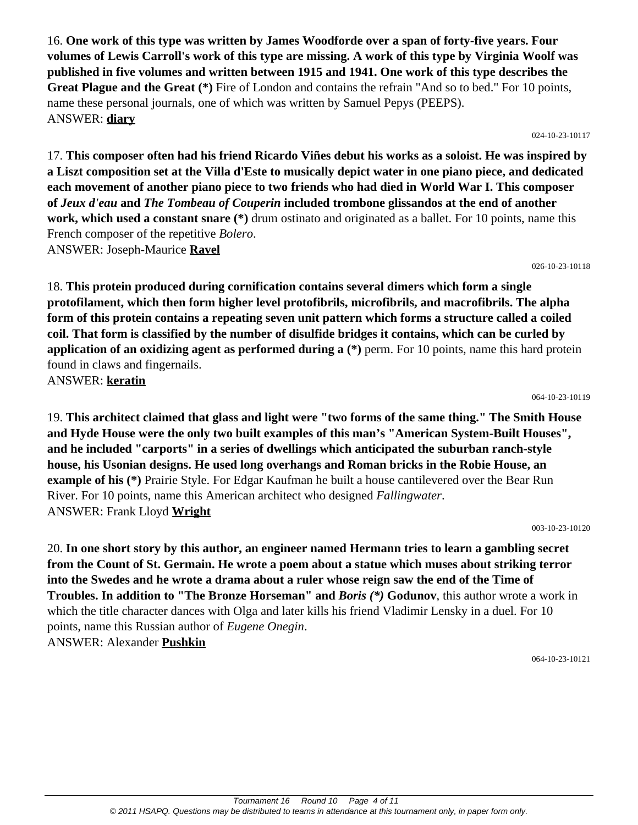16. **One work of this type was written by James Woodforde over a span of forty-five years. Four volumes of Lewis Carroll's work of this type are missing. A work of this type by Virginia Woolf was published in five volumes and written between 1915 and 1941. One work of this type describes the Great Plague and the Great (\*)** Fire of London and contains the refrain "And so to bed." For 10 points, name these personal journals, one of which was written by Samuel Pepys (PEEPS). ANSWER: **diary**

024-10-23-10117

17. **This composer often had his friend Ricardo Viñes debut his works as a soloist. He was inspired by a Liszt composition set at the Villa d'Este to musically depict water in one piano piece, and dedicated each movement of another piano piece to two friends who had died in World War I. This composer of** *Jeux d'eau* **and** *The Tombeau of Couperin* **included trombone glissandos at the end of another work, which used a constant snare** (\*) drum ostinato and originated as a ballet. For 10 points, name this French composer of the repetitive *Bolero*. ANSWER: Joseph-Maurice **Ravel**

026-10-23-10118

18. **This protein produced during cornification contains several dimers which form a single protofilament, which then form higher level protofibrils, microfibrils, and macrofibrils. The alpha form of this protein contains a repeating seven unit pattern which forms a structure called a coiled coil. That form is classified by the number of disulfide bridges it contains, which can be curled by application of an oxidizing agent as performed during a (\*)** perm. For 10 points, name this hard protein found in claws and fingernails. ANSWER: **keratin**

064-10-23-10119

19. **This architect claimed that glass and light were "two forms of the same thing." The Smith House and Hyde House were the only two built examples of this man's "American System-Built Houses", and he included "carports" in a series of dwellings which anticipated the suburban ranch-style house, his Usonian designs. He used long overhangs and Roman bricks in the Robie House, an example of his (\*)** Prairie Style. For Edgar Kaufman he built a house cantilevered over the Bear Run River. For 10 points, name this American architect who designed *Fallingwater*. ANSWER: Frank Lloyd **Wright**

003-10-23-10120

20. **In one short story by this author, an engineer named Hermann tries to learn a gambling secret from the Count of St. Germain. He wrote a poem about a statue which muses about striking terror into the Swedes and he wrote a drama about a ruler whose reign saw the end of the Time of Troubles. In addition to "The Bronze Horseman" and** *Boris (\*)* **Godunov**, this author wrote a work in which the title character dances with Olga and later kills his friend Vladimir Lensky in a duel. For 10 points, name this Russian author of *Eugene Onegin*. ANSWER: Alexander **Pushkin**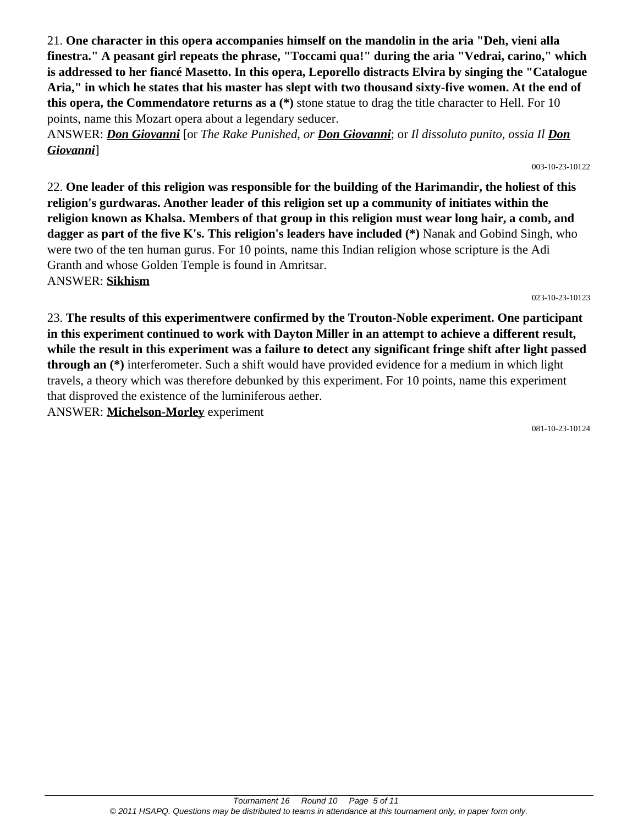**finestra." A peasant girl repeats the phrase, "Toccami qua!" during the aria "Vedrai, carino," which is addressed to her fiancé Masetto. In this opera, Leporello distracts Elvira by singing the "Catalogue Aria," in which he states that his master has slept with two thousand sixty-five women. At the end of this opera, the Commendatore returns as a (\*)** stone statue to drag the title character to Hell. For 10 points, name this Mozart opera about a legendary seducer. ANSWER: *Don Giovanni* [or *The Rake Punished, or Don Giovanni*; or *Il dissoluto punito, ossia Il Don Giovanni*]

21. **One character in this opera accompanies himself on the mandolin in the aria "Deh, vieni alla**

003-10-23-10122

22. **One leader of this religion was responsible for the building of the Harimandir, the holiest of this religion's gurdwaras. Another leader of this religion set up a community of initiates within the religion known as Khalsa. Members of that group in this religion must wear long hair, a comb, and dagger as part of the five K's. This religion's leaders have included (\*)** Nanak and Gobind Singh, who were two of the ten human gurus. For 10 points, name this Indian religion whose scripture is the Adi Granth and whose Golden Temple is found in Amritsar. ANSWER: **Sikhism**

023-10-23-10123

23. **The results of this experimentwere confirmed by the Trouton-Noble experiment. One participant in this experiment continued to work with Dayton Miller in an attempt to achieve a different result, while the result in this experiment was a failure to detect any significant fringe shift after light passed through an (\*)** interferometer. Such a shift would have provided evidence for a medium in which light travels, a theory which was therefore debunked by this experiment. For 10 points, name this experiment that disproved the existence of the luminiferous aether.

ANSWER: **Michelson-Morley** experiment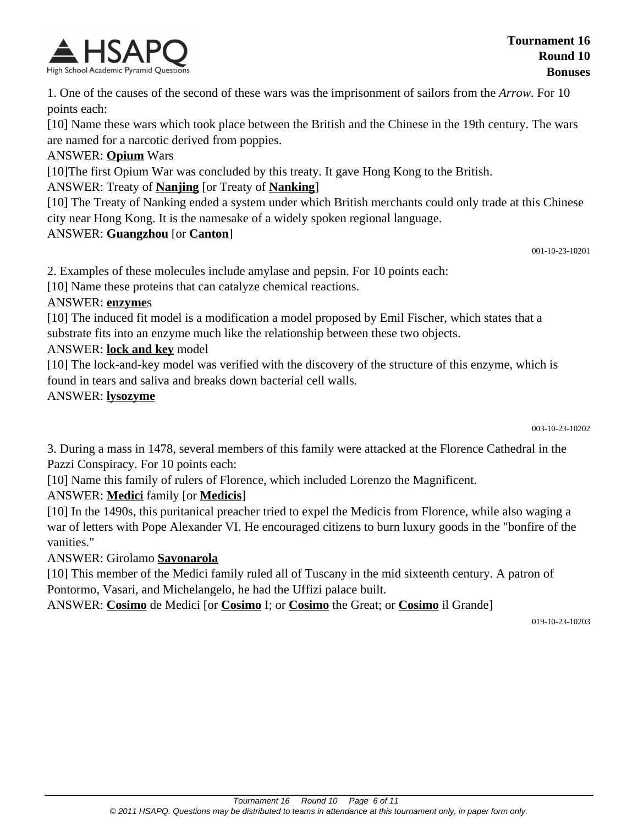

1. One of the causes of the second of these wars was the imprisonment of sailors from the *Arrow*. For 10 points each:

[10] Name these wars which took place between the British and the Chinese in the 19th century. The wars are named for a narcotic derived from poppies.

#### ANSWER: **Opium** Wars

[10]The first Opium War was concluded by this treaty. It gave Hong Kong to the British.

### ANSWER: Treaty of **Nanjing** [or Treaty of **Nanking**]

[10] The Treaty of Nanking ended a system under which British merchants could only trade at this Chinese city near Hong Kong. It is the namesake of a widely spoken regional language.

#### ANSWER: **Guangzhou** [or **Canton**]

001-10-23-10201

2. Examples of these molecules include amylase and pepsin. For 10 points each:

[10] Name these proteins that can catalyze chemical reactions.

#### ANSWER: **enzyme**s

[10] The induced fit model is a modification a model proposed by Emil Fischer, which states that a substrate fits into an enzyme much like the relationship between these two objects.

#### ANSWER: **lock and key** model

[10] The lock-and-key model was verified with the discovery of the structure of this enzyme, which is found in tears and saliva and breaks down bacterial cell walls.

#### ANSWER: **lysozyme**

003-10-23-10202

3. During a mass in 1478, several members of this family were attacked at the Florence Cathedral in the Pazzi Conspiracy. For 10 points each:

[10] Name this family of rulers of Florence, which included Lorenzo the Magnificent.

## ANSWER: **Medici** family [or **Medicis**]

[10] In the 1490s, this puritanical preacher tried to expel the Medicis from Florence, while also waging a war of letters with Pope Alexander VI. He encouraged citizens to burn luxury goods in the "bonfire of the vanities."

### ANSWER: Girolamo **Savonarola**

[10] This member of the Medici family ruled all of Tuscany in the mid sixteenth century. A patron of Pontormo, Vasari, and Michelangelo, he had the Uffizi palace built.

ANSWER: **Cosimo** de Medici [or **Cosimo** I; or **Cosimo** the Great; or **Cosimo** il Grande]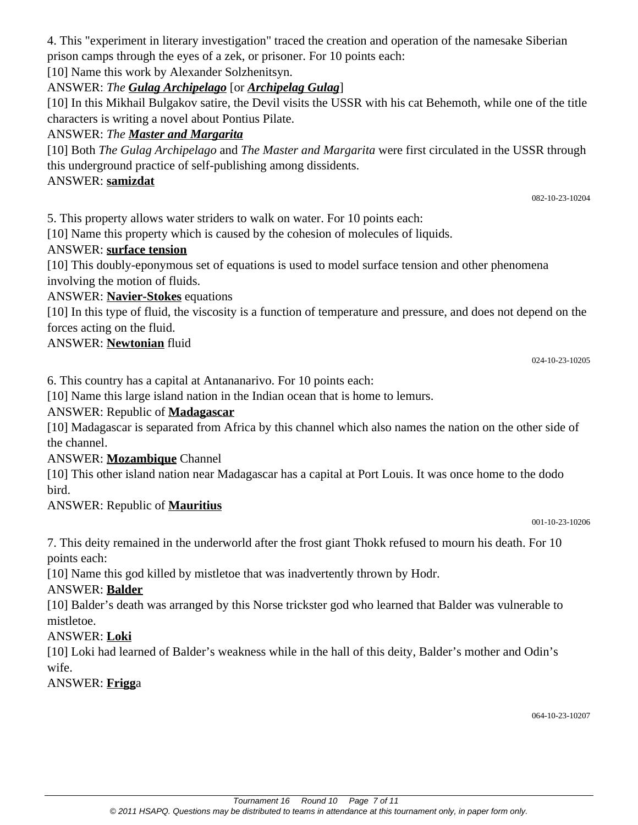4. This "experiment in literary investigation" traced the creation and operation of the namesake Siberian prison camps through the eyes of a zek, or prisoner. For 10 points each:

[10] Name this work by Alexander Solzhenitsyn.

# ANSWER: *The Gulag Archipelago* [or *Archipelag Gulag*]

[10] In this Mikhail Bulgakov satire, the Devil visits the USSR with his cat Behemoth, while one of the title characters is writing a novel about Pontius Pilate.

# ANSWER: *The Master and Margarita*

[10] Both *The Gulag Archipelago* and *The Master and Margarita* were first circulated in the USSR through this underground practice of self-publishing among dissidents.

# ANSWER: **samizdat**

5. This property allows water striders to walk on water. For 10 points each:

[10] Name this property which is caused by the cohesion of molecules of liquids.

# ANSWER: **surface tension**

[10] This doubly-eponymous set of equations is used to model surface tension and other phenomena involving the motion of fluids.

# ANSWER: **Navier-Stokes** equations

[10] In this type of fluid, the viscosity is a function of temperature and pressure, and does not depend on the forces acting on the fluid.

# ANSWER: **Newtonian** fluid

024-10-23-10205

082-10-23-10204

6. This country has a capital at Antananarivo. For 10 points each:

[10] Name this large island nation in the Indian ocean that is home to lemurs.

ANSWER: Republic of **Madagascar**

[10] Madagascar is separated from Africa by this channel which also names the nation on the other side of the channel.

# ANSWER: **Mozambique** Channel

[10] This other island nation near Madagascar has a capital at Port Louis. It was once home to the dodo bird.

# ANSWER: Republic of **Mauritius**

001-10-23-10206

7. This deity remained in the underworld after the frost giant Thokk refused to mourn his death. For 10 points each:

[10] Name this god killed by mistletoe that was inadvertently thrown by Hodr.

# ANSWER: **Balder**

[10] Balder's death was arranged by this Norse trickster god who learned that Balder was vulnerable to mistletoe.

# ANSWER: **Loki**

[10] Loki had learned of Balder's weakness while in the hall of this deity, Balder's mother and Odin's wife.

ANSWER: **Frigg**a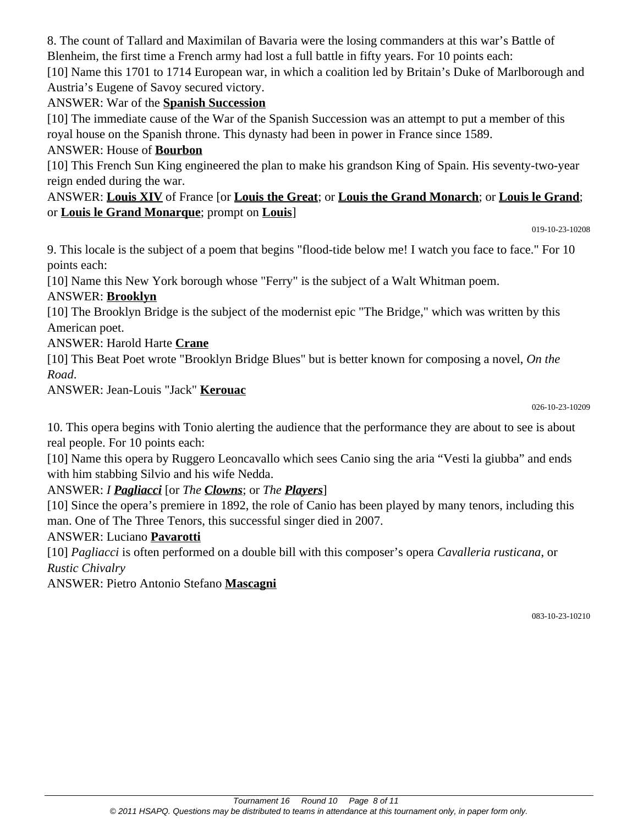8. The count of Tallard and Maximilan of Bavaria were the losing commanders at this war's Battle of Blenheim, the first time a French army had lost a full battle in fifty years. For 10 points each: [10] Name this 1701 to 1714 European war, in which a coalition led by Britain's Duke of Marlborough and Austria's Eugene of Savoy secured victory.

### ANSWER: War of the **Spanish Succession**

[10] The immediate cause of the War of the Spanish Succession was an attempt to put a member of this royal house on the Spanish throne. This dynasty had been in power in France since 1589.

# ANSWER: House of **Bourbon**

[10] This French Sun King engineered the plan to make his grandson King of Spain. His seventy-two-year reign ended during the war.

### ANSWER: **Louis XIV** of France [or **Louis the Great**; or **Louis the Grand Monarch**; or **Louis le Grand**; or **Louis le Grand Monarque**; prompt on **Louis**]

019-10-23-10208

9. This locale is the subject of a poem that begins "flood-tide below me! I watch you face to face." For 10 points each:

[10] Name this New York borough whose "Ferry" is the subject of a Walt Whitman poem.

## ANSWER: **Brooklyn**

[10] The Brooklyn Bridge is the subject of the modernist epic "The Bridge," which was written by this American poet.

ANSWER: Harold Harte **Crane**

[10] This Beat Poet wrote "Brooklyn Bridge Blues" but is better known for composing a novel, *On the Road*.

ANSWER: Jean-Louis "Jack" **Kerouac**

026-10-23-10209

10. This opera begins with Tonio alerting the audience that the performance they are about to see is about real people. For 10 points each:

[10] Name this opera by Ruggero Leoncavallo which sees Canio sing the aria "Vesti la giubba" and ends with him stabbing Silvio and his wife Nedda.

ANSWER: *I Pagliacci* [or *The Clowns*; or *The Players*]

[10] Since the opera's premiere in 1892, the role of Canio has been played by many tenors, including this man. One of The Three Tenors, this successful singer died in 2007.

## ANSWER: Luciano **Pavarotti**

[10] *Pagliacci* is often performed on a double bill with this composer's opera *Cavalleria rusticana*, or *Rustic Chivalry*

ANSWER: Pietro Antonio Stefano **Mascagni**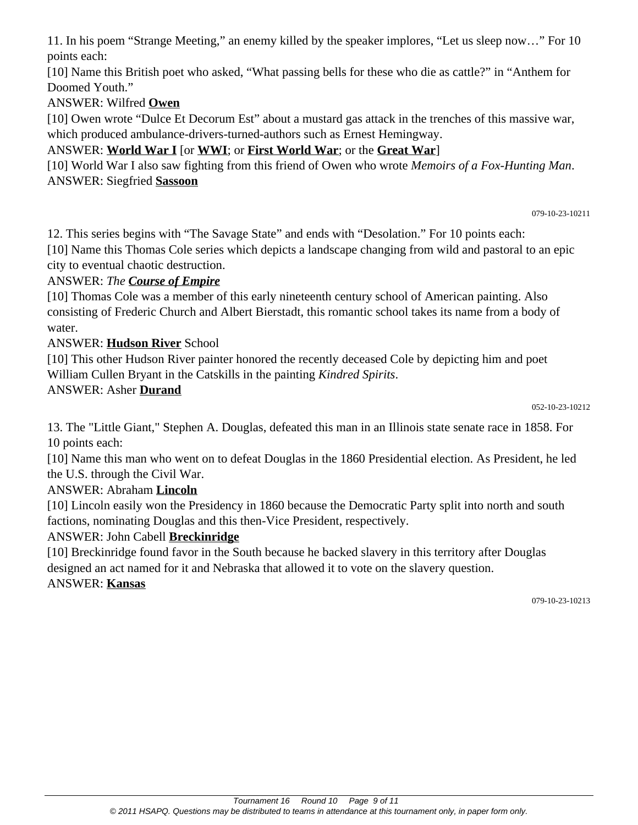11. In his poem "Strange Meeting," an enemy killed by the speaker implores, "Let us sleep now…" For 10 points each:

[10] Name this British poet who asked, "What passing bells for these who die as cattle?" in "Anthem for Doomed Youth."

ANSWER: Wilfred **Owen**

[10] Owen wrote "Dulce Et Decorum Est" about a mustard gas attack in the trenches of this massive war, which produced ambulance-drivers-turned-authors such as Ernest Hemingway.

# ANSWER: **World War I** [or **WWI**; or **First World War**; or the **Great War**]

[10] World War I also saw fighting from this friend of Owen who wrote *Memoirs of a Fox-Hunting Man*. ANSWER: Siegfried **Sassoon**

079-10-23-10211

12. This series begins with "The Savage State" and ends with "Desolation." For 10 points each: [10] Name this Thomas Cole series which depicts a landscape changing from wild and pastoral to an epic city to eventual chaotic destruction.

## ANSWER: *The Course of Empire*

[10] Thomas Cole was a member of this early nineteenth century school of American painting. Also consisting of Frederic Church and Albert Bierstadt, this romantic school takes its name from a body of water.

### ANSWER: **Hudson River** School

[10] This other Hudson River painter honored the recently deceased Cole by depicting him and poet William Cullen Bryant in the Catskills in the painting *Kindred Spirits*.

### ANSWER: Asher **Durand**

052-10-23-10212

13. The "Little Giant," Stephen A. Douglas, defeated this man in an Illinois state senate race in 1858. For 10 points each:

[10] Name this man who went on to defeat Douglas in the 1860 Presidential election. As President, he led the U.S. through the Civil War.

## ANSWER: Abraham **Lincoln**

[10] Lincoln easily won the Presidency in 1860 because the Democratic Party split into north and south factions, nominating Douglas and this then-Vice President, respectively.

## ANSWER: John Cabell **Breckinridge**

[10] Breckinridge found favor in the South because he backed slavery in this territory after Douglas designed an act named for it and Nebraska that allowed it to vote on the slavery question.

### ANSWER: **Kansas**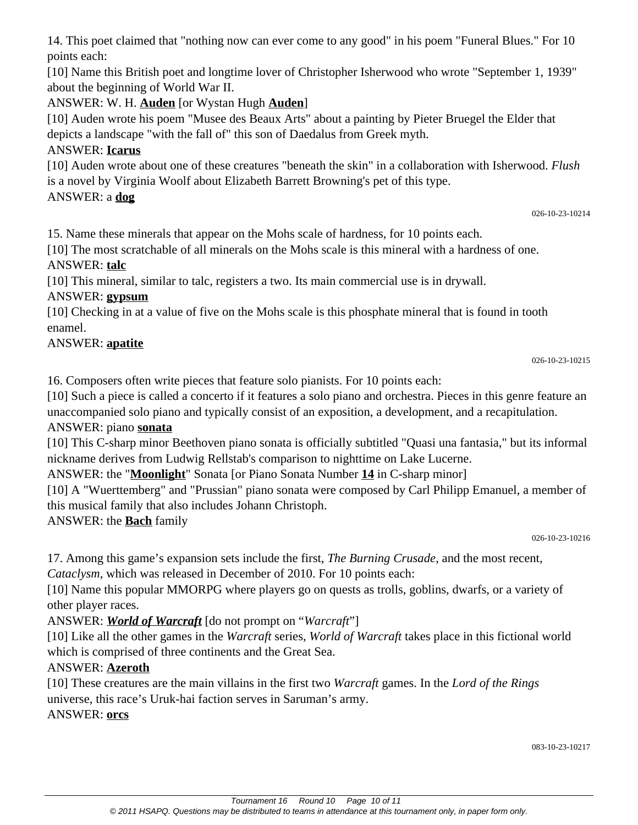14. This poet claimed that "nothing now can ever come to any good" in his poem "Funeral Blues." For 10 points each:

[10] Name this British poet and longtime lover of Christopher Isherwood who wrote "September 1, 1939" about the beginning of World War II.

## ANSWER: W. H. **Auden** [or Wystan Hugh **Auden**]

[10] Auden wrote his poem "Musee des Beaux Arts" about a painting by Pieter Bruegel the Elder that depicts a landscape "with the fall of" this son of Daedalus from Greek myth.

# ANSWER: **Icarus**

[10] Auden wrote about one of these creatures "beneath the skin" in a collaboration with Isherwood. *Flush* is a novel by Virginia Woolf about Elizabeth Barrett Browning's pet of this type.

# ANSWER: a **dog**

026-10-23-10214

15. Name these minerals that appear on the Mohs scale of hardness, for 10 points each.

[10] The most scratchable of all minerals on the Mohs scale is this mineral with a hardness of one.

## ANSWER: **talc**

[10] This mineral, similar to talc, registers a two. Its main commercial use is in drywall.

# ANSWER: **gypsum**

[10] Checking in at a value of five on the Mohs scale is this phosphate mineral that is found in tooth enamel.

## ANSWER: **apatite**

026-10-23-10215

16. Composers often write pieces that feature solo pianists. For 10 points each:

[10] Such a piece is called a concerto if it features a solo piano and orchestra. Pieces in this genre feature an unaccompanied solo piano and typically consist of an exposition, a development, and a recapitulation.

## ANSWER: piano **sonata**

[10] This C-sharp minor Beethoven piano sonata is officially subtitled "Quasi una fantasia," but its informal nickname derives from Ludwig Rellstab's comparison to nighttime on Lake Lucerne.

ANSWER: the "**Moonlight**" Sonata [or Piano Sonata Number **14** in C-sharp minor]

[10] A "Wuerttemberg" and "Prussian" piano sonata were composed by Carl Philipp Emanuel, a member of this musical family that also includes Johann Christoph.

ANSWER: the **Bach** family

026-10-23-10216

17. Among this game's expansion sets include the first, *The Burning Crusade*, and the most recent, *Cataclysm*, which was released in December of 2010. For 10 points each:

[10] Name this popular MMORPG where players go on quests as trolls, goblins, dwarfs, or a variety of other player races.

# ANSWER: *World of Warcraft* [do not prompt on "*Warcraft*"]

[10] Like all the other games in the *Warcraft* series, *World of Warcraft* takes place in this fictional world which is comprised of three continents and the Great Sea.

# ANSWER: **Azeroth**

[10] These creatures are the main villains in the first two *Warcraft* games. In the *Lord of the Rings* universe, this race's Uruk-hai faction serves in Saruman's army. ANSWER: **orcs**